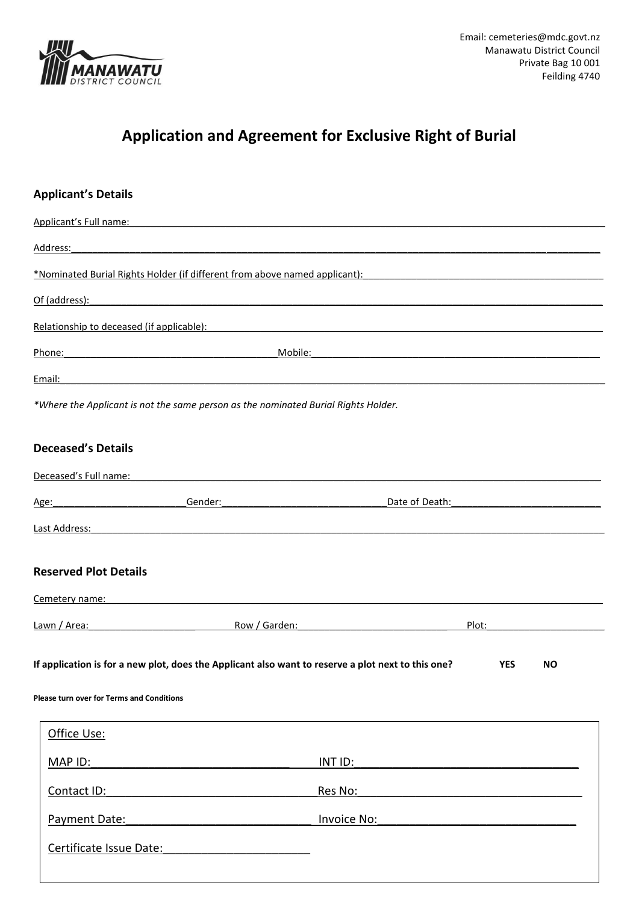

## **Application and Agreement for Exclusive Right of Burial**

| <b>Applicant's Details</b>                                                                         |                                                                                                                       |            |           |
|----------------------------------------------------------------------------------------------------|-----------------------------------------------------------------------------------------------------------------------|------------|-----------|
| Applicant's Full name:                                                                             |                                                                                                                       |            |           |
| Address:                                                                                           |                                                                                                                       |            |           |
| *Nominated Burial Rights Holder (if different from above named applicant):                         |                                                                                                                       |            |           |
| Of (address):                                                                                      |                                                                                                                       |            |           |
| Relationship to deceased (if applicable):                                                          |                                                                                                                       |            |           |
| Phone:                                                                                             | Mobile:                                                                                                               |            |           |
| Email:                                                                                             |                                                                                                                       |            |           |
| *Where the Applicant is not the same person as the nominated Burial Rights Holder.                 |                                                                                                                       |            |           |
| <b>Deceased's Details</b>                                                                          |                                                                                                                       |            |           |
| Deceased's Full name:                                                                              | <u> 1980 - Jan Barbara de La Barbara de la Barbara de la Barbara de la Barbara de la Barbara de la Barbara de la </u> |            |           |
| Gender:<br>Age:                                                                                    | Date of Death:                                                                                                        |            |           |
| Last Address:                                                                                      |                                                                                                                       |            |           |
| <b>Reserved Plot Details</b>                                                                       |                                                                                                                       |            |           |
| Cemetery name:                                                                                     |                                                                                                                       |            |           |
| Lawn / Area:                                                                                       | Row / Garden:                                                                                                         | Plot:      |           |
| If application is for a new plot, does the Applicant also want to reserve a plot next to this one? |                                                                                                                       | <b>YES</b> | <b>NO</b> |
| <b>Please turn over for Terms and Conditions</b>                                                   |                                                                                                                       |            |           |
| Office Use:                                                                                        |                                                                                                                       |            |           |
| MAP ID:                                                                                            | INT ID:                                                                                                               |            |           |
| Contact ID:                                                                                        | Res No:                                                                                                               |            |           |
| Payment Date:                                                                                      | <b>Invoice No:</b>                                                                                                    |            |           |
| Certificate Issue Date:                                                                            |                                                                                                                       |            |           |